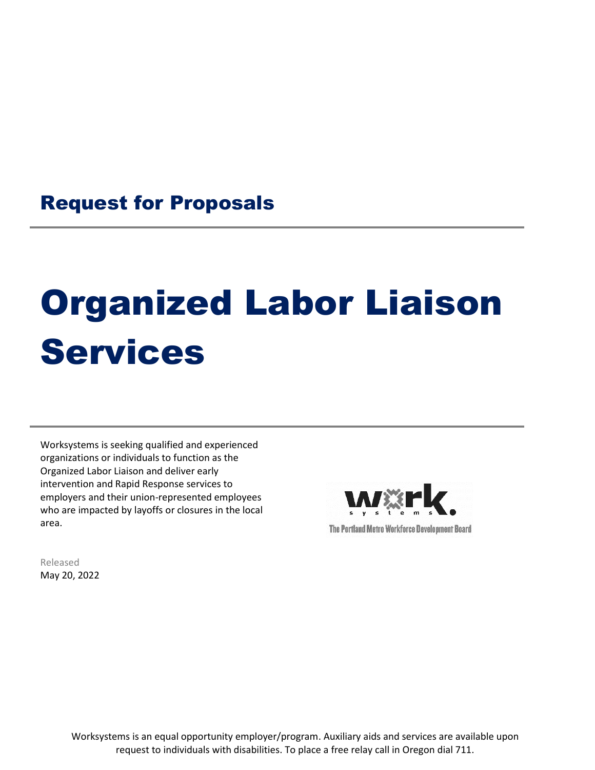## Request for Proposals

# Organized Labor Liaison Services

Worksystems is seeking qualified and experienced organizations or individuals to function as the Organized Labor Liaison and deliver early intervention and Rapid Response services to employers and their union-represented employees who are impacted by layoffs or closures in the local area.



Released May 20, 2022

> Worksystems is an equal opportunity employer/program. Auxiliary aids and services are available upon request to individuals with disabilities. To place a free relay call in Oregon dial 711.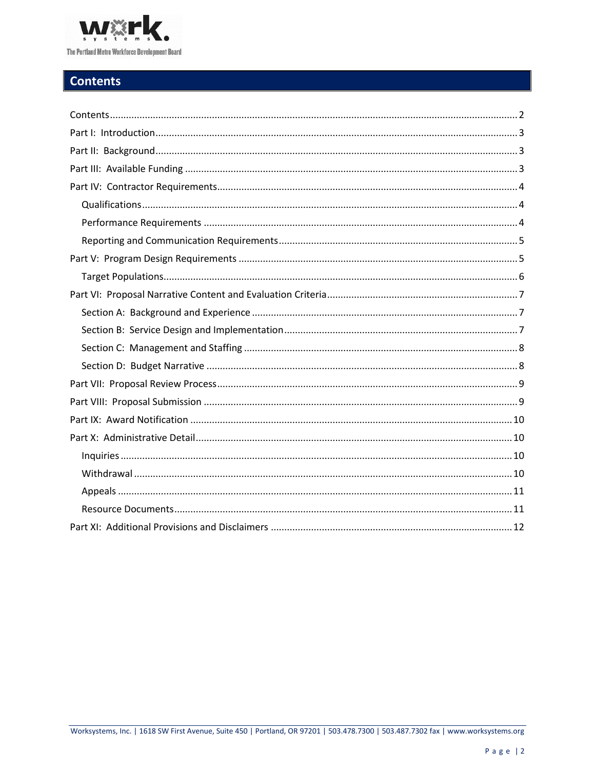

## <span id="page-1-0"></span>**Contents**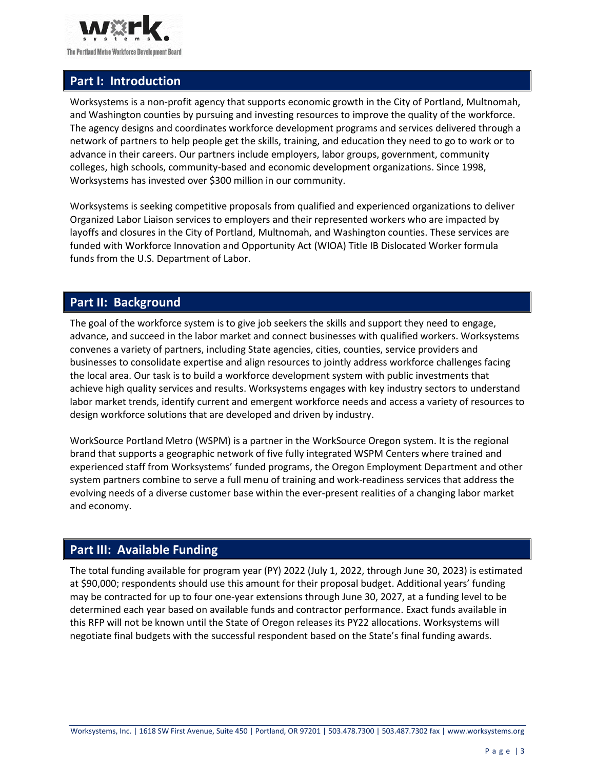

## <span id="page-2-0"></span>**Part I: Introduction**

Worksystems is a non-profit agency that supports economic growth in the City of Portland, Multnomah, and Washington counties by pursuing and investing resources to improve the quality of the workforce. The agency designs and coordinates workforce development programs and services delivered through a network of partners to help people get the skills, training, and education they need to go to work or to advance in their careers. Our partners include employers, labor groups, government, community colleges, high schools, community-based and economic development organizations. Since 1998, Worksystems has invested over \$300 million in our community.

Worksystems is seeking competitive proposals from qualified and experienced organizations to deliver Organized Labor Liaison services to employers and their represented workers who are impacted by layoffs and closures in the City of Portland, Multnomah, and Washington counties. These services are funded with Workforce Innovation and Opportunity Act (WIOA) Title IB Dislocated Worker formula funds from the U.S. Department of Labor.

#### <span id="page-2-1"></span>**Part II: Background**

The goal of the workforce system is to give job seekers the skills and support they need to engage, advance, and succeed in the labor market and connect businesses with qualified workers. Worksystems convenes a variety of partners, including State agencies, cities, counties, service providers and businesses to consolidate expertise and align resources to jointly address workforce challenges facing the local area. Our task is to build a workforce development system with public investments that achieve high quality services and results. Worksystems engages with key industry sectors to understand labor market trends, identify current and emergent workforce needs and access a variety of resources to design workforce solutions that are developed and driven by industry.

WorkSource Portland Metro (WSPM) is a partner in the WorkSource Oregon system. It is the regional brand that supports a geographic network of five fully integrated WSPM Centers where trained and experienced staff from Worksystems' funded programs, the Oregon Employment Department and other system partners combine to serve a full menu of training and work-readiness services that address the evolving needs of a diverse customer base within the ever-present realities of a changing labor market and economy.

#### <span id="page-2-2"></span>**Part III: Available Funding**

The total funding available for program year (PY) 2022 (July 1, 2022, through June 30, 2023) is estimated at \$90,000; respondents should use this amount for their proposal budget. Additional years' funding may be contracted for up to four one-year extensions through June 30, 2027, at a funding level to be determined each year based on available funds and contractor performance. Exact funds available in this RFP will not be known until the State of Oregon releases its PY22 allocations. Worksystems will negotiate final budgets with the successful respondent based on the State's final funding awards.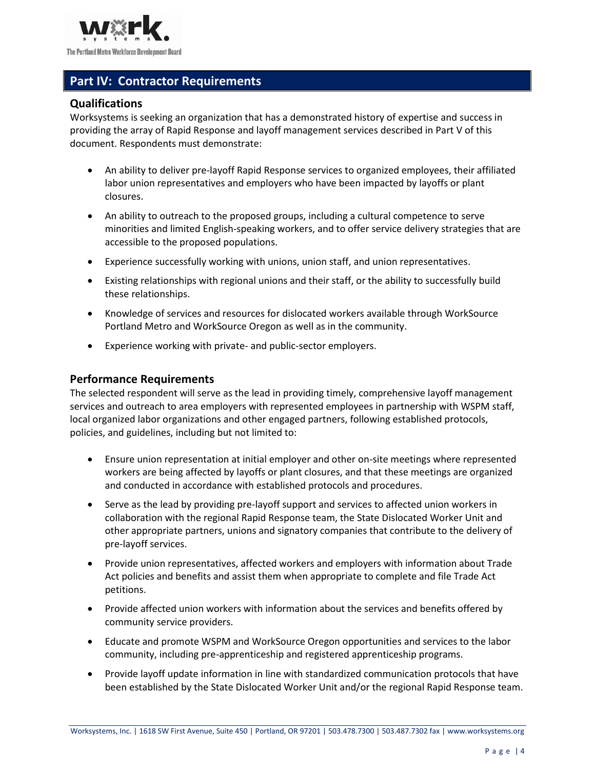

## <span id="page-3-0"></span>**Part IV: Contractor Requirements**

#### <span id="page-3-1"></span>**Qualifications**

Worksystems is seeking an organization that has a demonstrated history of expertise and success in providing the array of Rapid Response and layoff management services described in Part V of this document. Respondents must demonstrate:

- An ability to deliver pre-layoff Rapid Response services to organized employees, their affiliated labor union representatives and employers who have been impacted by layoffs or plant closures.
- An ability to outreach to the proposed groups, including a cultural competence to serve minorities and limited English-speaking workers, and to offer service delivery strategies that are accessible to the proposed populations.
- Experience successfully working with unions, union staff, and union representatives.
- Existing relationships with regional unions and their staff, or the ability to successfully build these relationships.
- Knowledge of services and resources for dislocated workers available through WorkSource Portland Metro and WorkSource Oregon as well as in the community.
- Experience working with private- and public-sector employers.

#### <span id="page-3-2"></span>**Performance Requirements**

The selected respondent will serve as the lead in providing timely, comprehensive layoff management services and outreach to area employers with represented employees in partnership with WSPM staff, local organized labor organizations and other engaged partners, following established protocols, policies, and guidelines, including but not limited to:

- Ensure union representation at initial employer and other on-site meetings where represented workers are being affected by layoffs or plant closures, and that these meetings are organized and conducted in accordance with established protocols and procedures.
- Serve as the lead by providing pre-layoff support and services to affected union workers in collaboration with the regional Rapid Response team, the State Dislocated Worker Unit and other appropriate partners, unions and signatory companies that contribute to the delivery of pre-layoff services.
- Provide union representatives, affected workers and employers with information about Trade Act policies and benefits and assist them when appropriate to complete and file Trade Act petitions.
- Provide affected union workers with information about the services and benefits offered by community service providers.
- Educate and promote WSPM and WorkSource Oregon opportunities and services to the labor community, including pre-apprenticeship and registered apprenticeship programs.
- Provide layoff update information in line with standardized communication protocols that have been established by the State Dislocated Worker Unit and/or the regional Rapid Response team.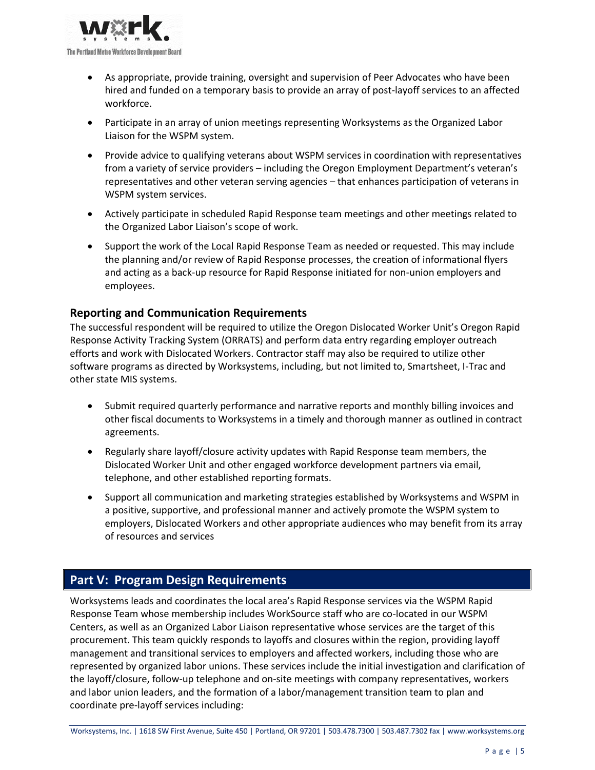

- As appropriate, provide training, oversight and supervision of Peer Advocates who have been hired and funded on a temporary basis to provide an array of post-layoff services to an affected workforce.
- Participate in an array of union meetings representing Worksystems as the Organized Labor Liaison for the WSPM system.
- Provide advice to qualifying veterans about WSPM services in coordination with representatives from a variety of service providers – including the Oregon Employment Department's veteran's representatives and other veteran serving agencies – that enhances participation of veterans in WSPM system services.
- Actively participate in scheduled Rapid Response team meetings and other meetings related to the Organized Labor Liaison's scope of work.
- Support the work of the Local Rapid Response Team as needed or requested. This may include the planning and/or review of Rapid Response processes, the creation of informational flyers and acting as a back-up resource for Rapid Response initiated for non-union employers and employees.

#### <span id="page-4-0"></span>**Reporting and Communication Requirements**

The successful respondent will be required to utilize the Oregon Dislocated Worker Unit's Oregon Rapid Response Activity Tracking System (ORRATS) and perform data entry regarding employer outreach efforts and work with Dislocated Workers. Contractor staff may also be required to utilize other software programs as directed by Worksystems, including, but not limited to, Smartsheet, I-Trac and other state MIS systems.

- Submit required quarterly performance and narrative reports and monthly billing invoices and other fiscal documents to Worksystems in a timely and thorough manner as outlined in contract agreements.
- Regularly share layoff/closure activity updates with Rapid Response team members, the Dislocated Worker Unit and other engaged workforce development partners via email, telephone, and other established reporting formats.
- Support all communication and marketing strategies established by Worksystems and WSPM in a positive, supportive, and professional manner and actively promote the WSPM system to employers, Dislocated Workers and other appropriate audiences who may benefit from its array of resources and services

## <span id="page-4-1"></span>**Part V: Program Design Requirements**

Worksystems leads and coordinates the local area's Rapid Response services via the WSPM Rapid Response Team whose membership includes WorkSource staff who are co-located in our WSPM Centers, as well as an Organized Labor Liaison representative whose services are the target of this procurement. This team quickly responds to layoffs and closures within the region, providing layoff management and transitional services to employers and affected workers, including those who are represented by organized labor unions. These services include the initial investigation and clarification of the layoff/closure, follow-up telephone and on-site meetings with company representatives, workers and labor union leaders, and the formation of a labor/management transition team to plan and coordinate pre-layoff services including: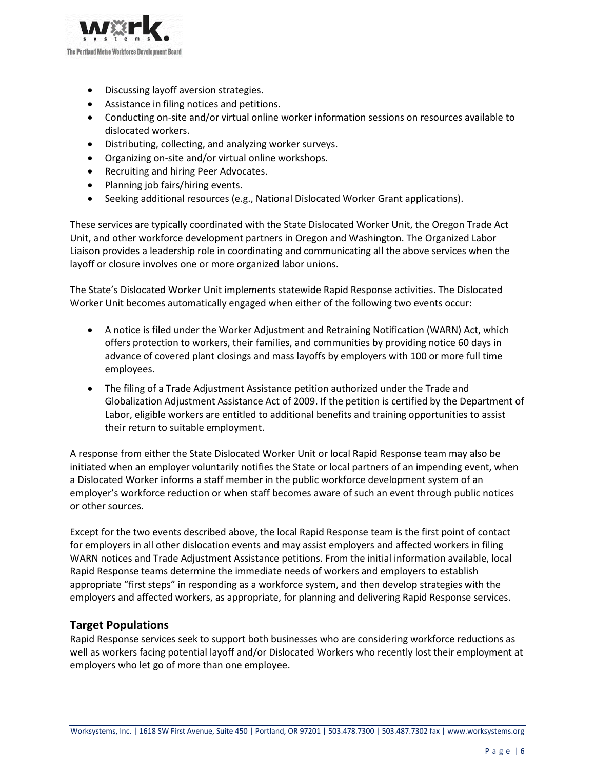

- Discussing layoff aversion strategies.
- Assistance in filing notices and petitions.
- Conducting on-site and/or virtual online worker information sessions on resources available to dislocated workers.
- Distributing, collecting, and analyzing worker surveys.
- Organizing on-site and/or virtual online workshops.
- Recruiting and hiring Peer Advocates.
- Planning job fairs/hiring events.
- Seeking additional resources (e.g., National Dislocated Worker Grant applications).

These services are typically coordinated with the State Dislocated Worker Unit, the Oregon Trade Act Unit, and other workforce development partners in Oregon and Washington. The Organized Labor Liaison provides a leadership role in coordinating and communicating all the above services when the layoff or closure involves one or more organized labor unions.

The State's Dislocated Worker Unit implements statewide Rapid Response activities. The Dislocated Worker Unit becomes automatically engaged when either of the following two events occur:

- A notice is filed under the Worker Adjustment and Retraining Notification (WARN) Act, which offers protection to workers, their families, and communities by providing notice 60 days in advance of covered plant closings and mass layoffs by employers with 100 or more full time employees.
- The filing of a Trade Adjustment Assistance petition authorized under the Trade and Globalization Adjustment Assistance Act of 2009. If the petition is certified by the Department of Labor, eligible workers are entitled to additional benefits and training opportunities to assist their return to suitable employment.

A response from either the State Dislocated Worker Unit or local Rapid Response team may also be initiated when an employer voluntarily notifies the State or local partners of an impending event, when a Dislocated Worker informs a staff member in the public workforce development system of an employer's workforce reduction or when staff becomes aware of such an event through public notices or other sources.

Except for the two events described above, the local Rapid Response team is the first point of contact for employers in all other dislocation events and may assist employers and affected workers in filing WARN notices and Trade Adjustment Assistance petitions. From the initial information available, local Rapid Response teams determine the immediate needs of workers and employers to establish appropriate "first steps" in responding as a workforce system, and then develop strategies with the employers and affected workers, as appropriate, for planning and delivering Rapid Response services.

#### <span id="page-5-0"></span>**Target Populations**

Rapid Response services seek to support both businesses who are considering workforce reductions as well as workers facing potential layoff and/or Dislocated Workers who recently lost their employment at employers who let go of more than one employee.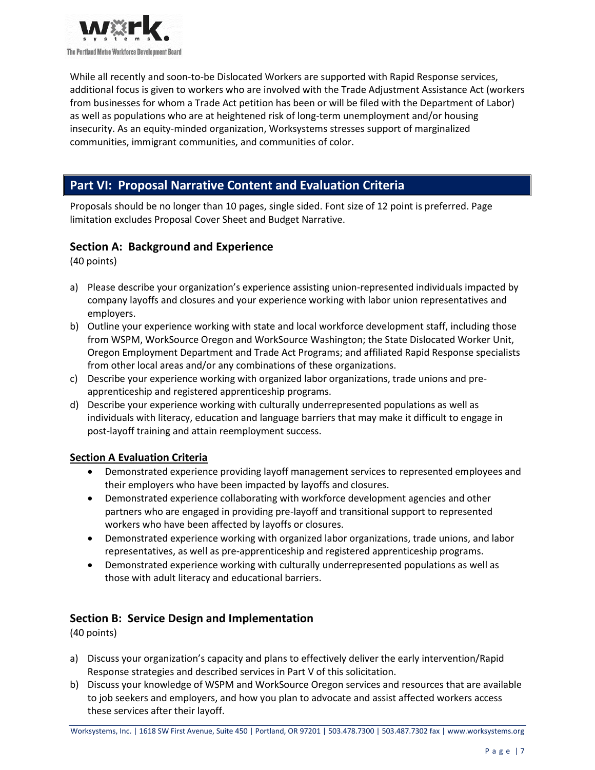

While all recently and soon-to-be Dislocated Workers are supported with Rapid Response services, additional focus is given to workers who are involved with the Trade Adjustment Assistance Act (workers from businesses for whom a Trade Act petition has been or will be filed with the Department of Labor) as well as populations who are at heightened risk of long-term unemployment and/or housing insecurity. As an equity-minded organization, Worksystems stresses support of marginalized communities, immigrant communities, and communities of color.

### <span id="page-6-0"></span>**Part VI: Proposal Narrative Content and Evaluation Criteria**

Proposals should be no longer than 10 pages, single sided. Font size of 12 point is preferred. Page limitation excludes Proposal Cover Sheet and Budget Narrative.

#### <span id="page-6-1"></span>**Section A: Background and Experience**

(40 points)

- a) Please describe your organization's experience assisting union-represented individuals impacted by company layoffs and closures and your experience working with labor union representatives and employers.
- b) Outline your experience working with state and local workforce development staff, including those from WSPM, WorkSource Oregon and WorkSource Washington; the State Dislocated Worker Unit, Oregon Employment Department and Trade Act Programs; and affiliated Rapid Response specialists from other local areas and/or any combinations of these organizations.
- c) Describe your experience working with organized labor organizations, trade unions and preapprenticeship and registered apprenticeship programs.
- d) Describe your experience working with culturally underrepresented populations as well as individuals with literacy, education and language barriers that may make it difficult to engage in post-layoff training and attain reemployment success.

#### **Section A Evaluation Criteria**

- Demonstrated experience providing layoff management services to represented employees and their employers who have been impacted by layoffs and closures.
- Demonstrated experience collaborating with workforce development agencies and other partners who are engaged in providing pre-layoff and transitional support to represented workers who have been affected by layoffs or closures.
- Demonstrated experience working with organized labor organizations, trade unions, and labor representatives, as well as pre-apprenticeship and registered apprenticeship programs.
- Demonstrated experience working with culturally underrepresented populations as well as those with adult literacy and educational barriers.

#### <span id="page-6-2"></span>**Section B: Service Design and Implementation**

(40 points)

- a) Discuss your organization's capacity and plans to effectively deliver the early intervention/Rapid Response strategies and described services in Part V of this solicitation.
- b) Discuss your knowledge of WSPM and WorkSource Oregon services and resources that are available to job seekers and employers, and how you plan to advocate and assist affected workers access these services after their layoff.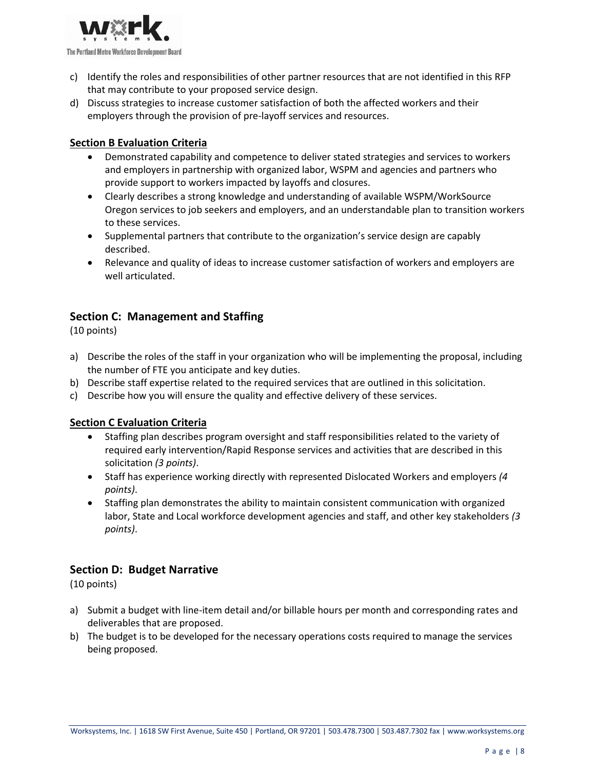

- c) Identify the roles and responsibilities of other partner resources that are not identified in this RFP that may contribute to your proposed service design.
- d) Discuss strategies to increase customer satisfaction of both the affected workers and their employers through the provision of pre-layoff services and resources.

#### **Section B Evaluation Criteria**

- Demonstrated capability and competence to deliver stated strategies and services to workers and employers in partnership with organized labor, WSPM and agencies and partners who provide support to workers impacted by layoffs and closures.
- Clearly describes a strong knowledge and understanding of available WSPM/WorkSource Oregon services to job seekers and employers, and an understandable plan to transition workers to these services.
- Supplemental partners that contribute to the organization's service design are capably described.
- Relevance and quality of ideas to increase customer satisfaction of workers and employers are well articulated.

#### <span id="page-7-0"></span>**Section C: Management and Staffing**

(10 points)

- a) Describe the roles of the staff in your organization who will be implementing the proposal, including the number of FTE you anticipate and key duties.
- b) Describe staff expertise related to the required services that are outlined in this solicitation.
- c) Describe how you will ensure the quality and effective delivery of these services.

#### **Section C Evaluation Criteria**

- Staffing plan describes program oversight and staff responsibilities related to the variety of required early intervention/Rapid Response services and activities that are described in this solicitation *(3 points)*.
- Staff has experience working directly with represented Dislocated Workers and employers *(4 points)*.
- Staffing plan demonstrates the ability to maintain consistent communication with organized labor, State and Local workforce development agencies and staff, and other key stakeholders *(3 points)*.

#### <span id="page-7-1"></span>**Section D: Budget Narrative**

(10 points)

- a) Submit a budget with line-item detail and/or billable hours per month and corresponding rates and deliverables that are proposed.
- b) The budget is to be developed for the necessary operations costs required to manage the services being proposed.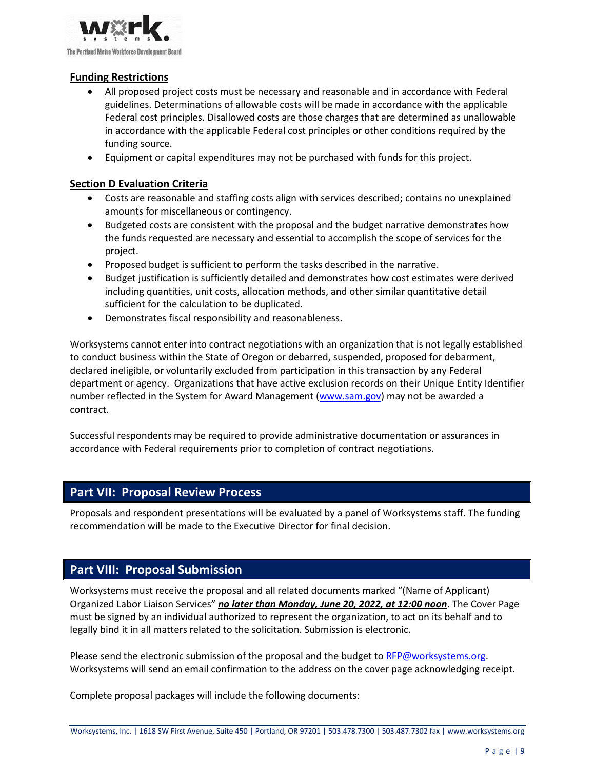

#### **Funding Restrictions**

- All proposed project costs must be necessary and reasonable and in accordance with Federal guidelines. Determinations of allowable costs will be made in accordance with the applicable Federal cost principles. Disallowed costs are those charges that are determined as unallowable in accordance with the applicable Federal cost principles or other conditions required by the funding source.
- Equipment or capital expenditures may not be purchased with funds for this project.

#### **Section D Evaluation Criteria**

- Costs are reasonable and staffing costs align with services described; contains no unexplained amounts for miscellaneous or contingency.
- Budgeted costs are consistent with the proposal and the budget narrative demonstrates how the funds requested are necessary and essential to accomplish the scope of services for the project.
- Proposed budget is sufficient to perform the tasks described in the narrative.
- Budget justification is sufficiently detailed and demonstrates how cost estimates were derived including quantities, unit costs, allocation methods, and other similar quantitative detail sufficient for the calculation to be duplicated.
- Demonstrates fiscal responsibility and reasonableness.

Worksystems cannot enter into contract negotiations with an organization that is not legally established to conduct business within the State of Oregon or debarred, suspended, proposed for debarment, declared ineligible, or voluntarily excluded from participation in this transaction by any Federal department or agency. Organizations that have active exclusion records on their Unique Entity Identifier number reflected in the System for Award Management [\(www.sam.gov\)](http://www.sam.gov/) may not be awarded a contract.

Successful respondents may be required to provide administrative documentation or assurances in accordance with Federal requirements prior to completion of contract negotiations.

#### <span id="page-8-0"></span>**Part VII: Proposal Review Process**

Proposals and respondent presentations will be evaluated by a panel of Worksystems staff. The funding recommendation will be made to the Executive Director for final decision.

#### <span id="page-8-1"></span>**Part VIII: Proposal Submission**

Worksystems must receive the proposal and all related documents marked "(Name of Applicant) Organized Labor Liaison Services" *no later than Monday, June 20, 2022, at 12:00 noon*. The Cover Page must be signed by an individual authorized to represent the organization, to act on its behalf and to legally bind it in all matters related to the solicitation. Submission is electronic.

Please send the electronic submission of the proposal and the budget to [RFP@worksystems.org.](mailto:RFP@worksystems.org) Worksystems will send an email confirmation to the address on the cover page acknowledging receipt.

Complete proposal packages will include the following documents: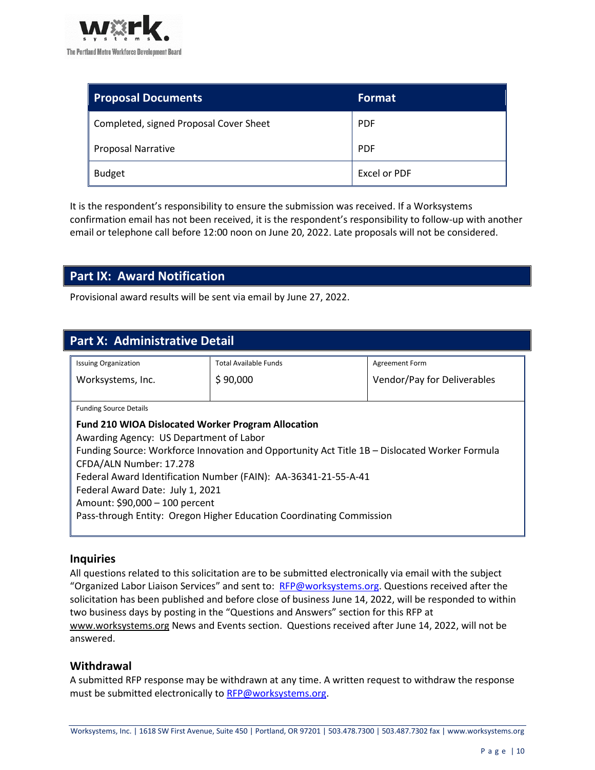

| <b>Proposal Documents</b>              | <b>Format</b> |
|----------------------------------------|---------------|
| Completed, signed Proposal Cover Sheet | <b>PDF</b>    |
| <b>Proposal Narrative</b>              | <b>PDF</b>    |
| <b>Budget</b>                          | Excel or PDF  |

It is the respondent's responsibility to ensure the submission was received. If a Worksystems confirmation email has not been received, it is the respondent's responsibility to follow-up with another email or telephone call before 12:00 noon on June 20, 2022. Late proposals will not be considered.

## <span id="page-9-0"></span>**Part IX: Award Notification**

Provisional award results will be sent via email by June 27, 2022.

<span id="page-9-1"></span>

| <b>Part X: Administrative Detail</b>                                                          |                             |  |  |  |
|-----------------------------------------------------------------------------------------------|-----------------------------|--|--|--|
| <b>Total Available Funds</b>                                                                  | Agreement Form              |  |  |  |
| \$90,000                                                                                      | Vendor/Pay for Deliverables |  |  |  |
| <b>Funding Source Details</b>                                                                 |                             |  |  |  |
| <b>Fund 210 WIOA Dislocated Worker Program Allocation</b>                                     |                             |  |  |  |
| Awarding Agency: US Department of Labor                                                       |                             |  |  |  |
| Funding Source: Workforce Innovation and Opportunity Act Title 1B - Dislocated Worker Formula |                             |  |  |  |
| CFDA/ALN Number: 17.278                                                                       |                             |  |  |  |
| Federal Award Identification Number (FAIN): AA-36341-21-55-A-41                               |                             |  |  |  |
| Federal Award Date: July 1, 2021                                                              |                             |  |  |  |
| Amount: \$90,000 - 100 percent                                                                |                             |  |  |  |
| Pass-through Entity: Oregon Higher Education Coordinating Commission                          |                             |  |  |  |
|                                                                                               |                             |  |  |  |

#### <span id="page-9-2"></span>**Inquiries**

All questions related to this solicitation are to be submitted electronically via email with the subject "Organized Labor Liaison Services" and sent to: [RFP@worksystems.org.](mailto:RFP@worksystems.org) Questions received after the solicitation has been published and before close of business June 14, 2022, will be responded to within two business days by posting in the "Questions and Answers" section for this RFP at [www.worksystems.org](http://www.worksystems.org/) News and Events section. Questions received after June 14, 2022, will not be answered.

#### <span id="page-9-3"></span>**Withdrawal**

A submitted RFP response may be withdrawn at any time. A written request to withdraw the response must be submitted electronically to [RFP@worksystems.org.](mailto:RFP@worksystems.org)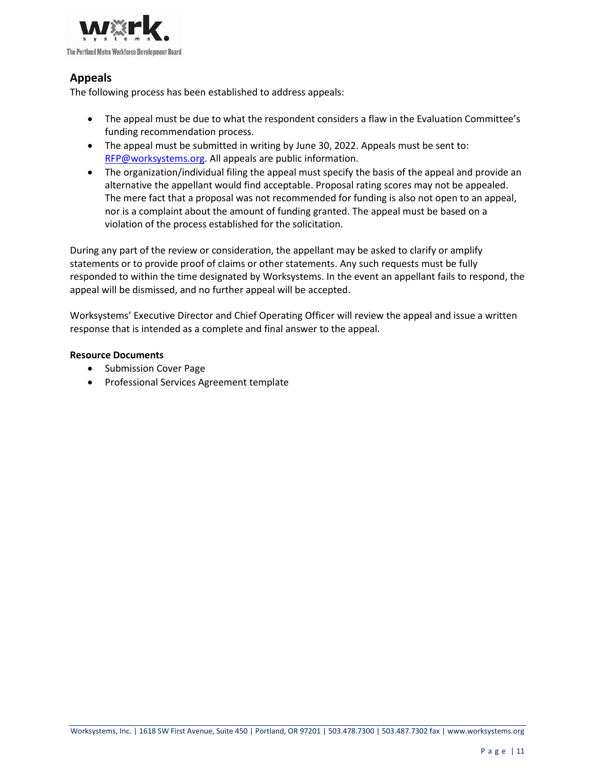

#### <span id="page-10-0"></span>**Appeals**

The following process has been established to address appeals:

- The appeal must be due to what the respondent considers a flaw in the Evaluation Committee's funding recommendation process.
- The appeal must be submitted in writing by June 30, 2022. Appeals must be sent to: [RFP@worksystems.org.](mailto:RFP@worksystems.org) All appeals are public information.
- The organization/individual filing the appeal must specify the basis of the appeal and provide an alternative the appellant would find acceptable. Proposal rating scores may not be appealed. The mere fact that a proposal was not recommended for funding is also not open to an appeal, nor is a complaint about the amount of funding granted. The appeal must be based on a violation of the process established for the solicitation.

During any part of the review or consideration, the appellant may be asked to clarify or amplify statements or to provide proof of claims or other statements. Any such requests must be fully responded to within the time designated by Worksystems. In the event an appellant fails to respond, the appeal will be dismissed, and no further appeal will be accepted.

Worksystems' Executive Director and Chief Operating Officer will review the appeal and issue a written response that is intended as a complete and final answer to the appeal.

#### <span id="page-10-1"></span>**Resource Documents**

- Submission Cover Page
- Professional Services Agreement template